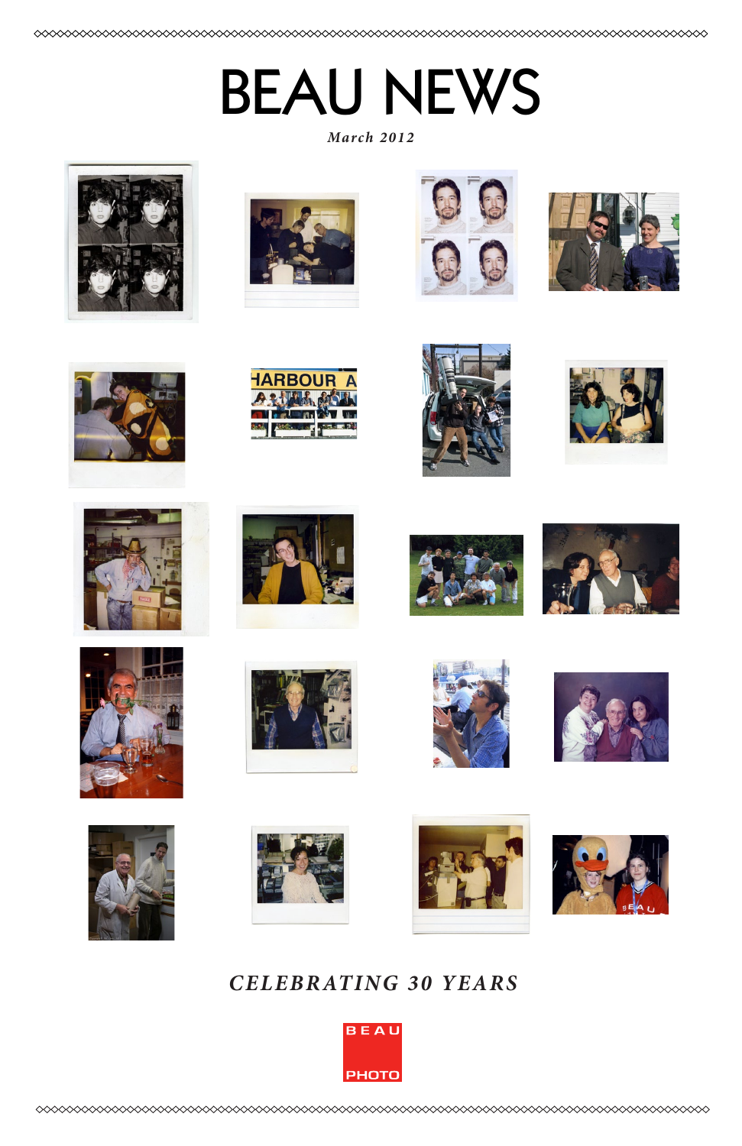# BEAU NEWS

*March 2012*







































### *CELEBRATING 30 YEARS*

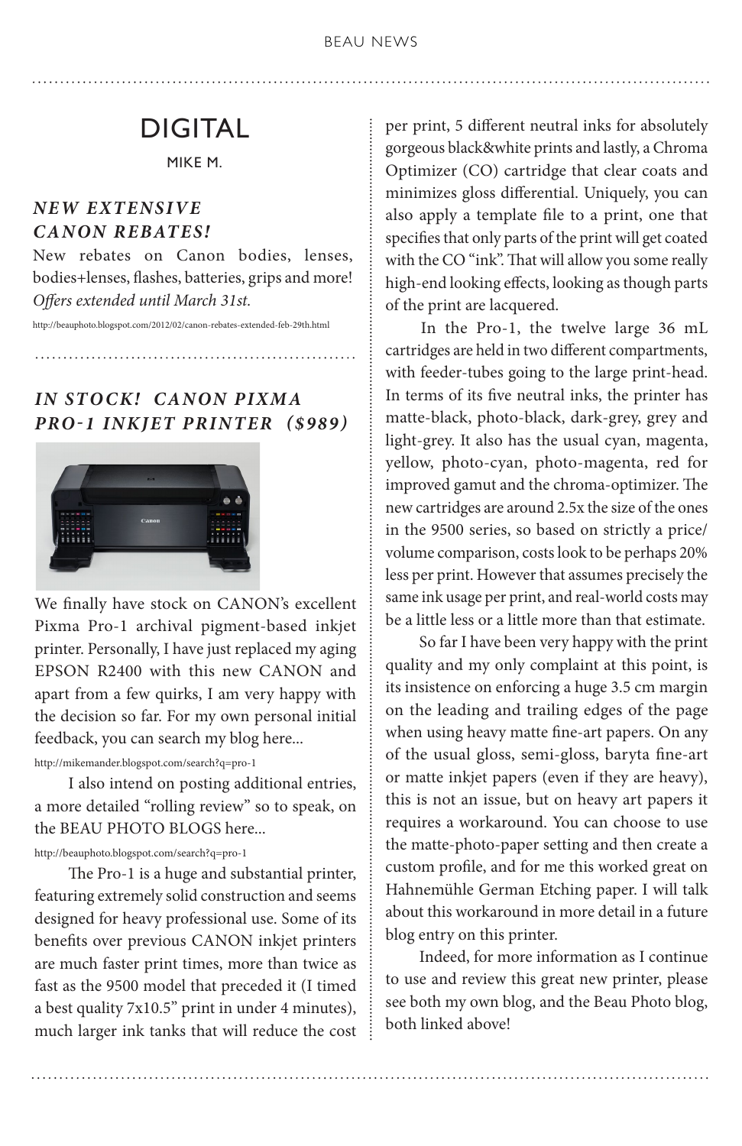## DIGITAL

MIKE M.

### *NEW EXTENSIVE CANON REBATES!*

New rebates on Canon bodies, lenses, bodies+lenses, flashes, batteries, grips and more! *Offers extended until March 31st.* 

http://beauphoto.blogspot.com/2012/02/canon-rebates-extended-feb-29th.html

*IN STO CK! CANON PIXMA PRO-1 INKJET PRINTER (\$989)*



We finally have stock on CANON's excellent Pixma Pro-1 archival pigment-based inkjet printer. Personally, I have just replaced my aging EPSON R2400 with this new CANON and apart from a few quirks, I am very happy with the decision so far. For my own personal initial feedback, you can search my blog here...

http://mikemander.blogspot.com/search?q=pro-1

 I also intend on posting additional entries, a more detailed "rolling review" so to speak, on the BEAU PHOTO BLOGS here...

#### http://beauphoto.blogspot.com/search?q=pro-1

 The Pro-1 is a huge and substantial printer, featuring extremely solid construction and seems designed for heavy professional use. Some of its benefits over previous CANON inkjet printers are much faster print times, more than twice as fast as the 9500 model that preceded it (I timed a best quality 7x10.5" print in under 4 minutes), much larger ink tanks that will reduce the cost per print, 5 different neutral inks for absolutely gorgeous black&white prints and lastly, a Chroma Optimizer (CO) cartridge that clear coats and minimizes gloss differential. Uniquely, you can also apply a template file to a print, one that specifies that only parts of the print will get coated with the CO "ink". That will allow you some really high-end looking effects, looking as though parts of the print are lacquered.

 In the Pro-1, the twelve large 36 mL cartridges are held in two different compartments, with feeder-tubes going to the large print-head. In terms of its five neutral inks, the printer has matte-black, photo-black, dark-grey, grey and light-grey. It also has the usual cyan, magenta, yellow, photo-cyan, photo-magenta, red for improved gamut and the chroma-optimizer. The new cartridges are around 2.5x the size of the ones in the 9500 series, so based on strictly a price/ volume comparison, costs look to be perhaps 20% less per print. However that assumes precisely the same ink usage per print, and real-world costs may be a little less or a little more than that estimate.

 So far I have been very happy with the print quality and my only complaint at this point, is its insistence on enforcing a huge 3.5 cm margin on the leading and trailing edges of the page when using heavy matte fine-art papers. On any of the usual gloss, semi-gloss, baryta fine-art or matte inkjet papers (even if they are heavy), this is not an issue, but on heavy art papers it requires a workaround. You can choose to use the matte-photo-paper setting and then create a custom profile, and for me this worked great on Hahnemühle German Etching paper. I will talk about this workaround in more detail in a future blog entry on this printer.

 Indeed, for more information as I continue to use and review this great new printer, please see both my own blog, and the Beau Photo blog, both linked above!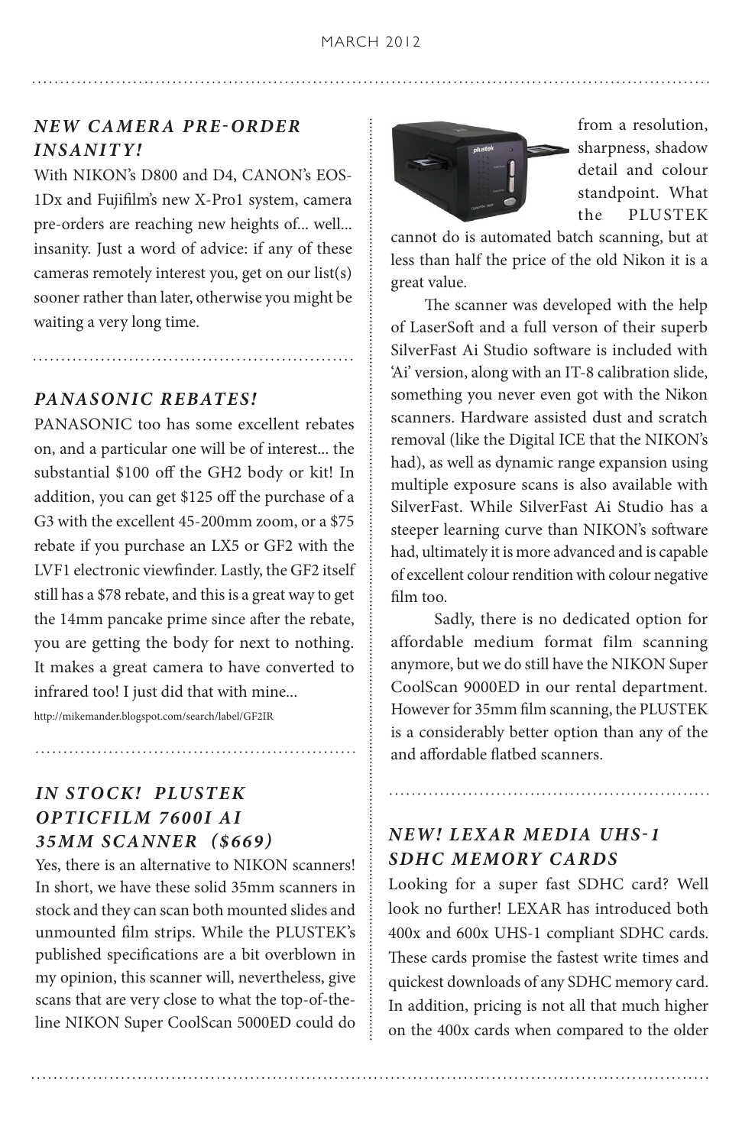### *NEW CAMER A PRE-ORDER INSANITY!*

With NIKON's D800 and D4, CANON's EOS-1Dx and Fujifilm's new X-Pro1 system, camera pre-orders are reaching new heights of... well... insanity. Just a word of advice: if any of these cameras remotely interest you, get on our list(s) sooner rather than later, otherwise you might be waiting a very long time.

#### *PANASONIC REBATES!*

PANASONIC too has some excellent rebates on, and a particular one will be of interest... the substantial \$100 off the GH2 body or kit! In addition, you can get \$125 off the purchase of a G3 with the excellent 45-200mm zoom, or a \$75 rebate if you purchase an LX5 or GF2 with the LVF1 electronic viewfinder. Lastly, the GF2 itself still has a \$78 rebate, and this is a great way to get the 14mm pancake prime since after the rebate, you are getting the body for next to nothing. It makes a great camera to have converted to infrared too! I just did that with mine...

http://mikemander.blogspot.com/search/label/GF2IR

### *IN STO CK! PLUSTEK OPTICFILM 7600I AI 35MM SCANNER (\$669)*

Yes, there is an alternative to NIKON scanners! In short, we have these solid 35mm scanners in stock and they can scan both mounted slides and unmounted film strips. While the PLUSTEK's published specifications are a bit overblown in my opinion, this scanner will, nevertheless, give scans that are very close to what the top-of-theline NIKON Super CoolScan 5000ED could do



from a resolution, sharpness, shadow detail and colour standpoint. What the PLUSTEK

cannot do is automated batch scanning, but at less than half the price of the old Nikon it is a great value.

 The scanner was developed with the help of LaserSoft and a full verson of their superb SilverFast Ai Studio software is included with 'Ai' version, along with an IT-8 calibration slide, something you never even got with the Nikon scanners. Hardware assisted dust and scratch removal (like the Digital ICE that the NIKON's had), as well as dynamic range expansion using multiple exposure scans is also available with SilverFast. While SilverFast Ai Studio has a steeper learning curve than NIKON's software had, ultimately it is more advanced and is capable of excellent colour rendition with colour negative film too.

 Sadly, there is no dedicated option for affordable medium format film scanning anymore, but we do still have the NIKON Super CoolScan 9000ED in our rental department. However for 35mm film scanning, the PLUSTEK is a considerably better option than any of the and affordable flatbed scanners.

### *NEW! LEXAR MEDIA UHS-1 SDHC MEMORY CARDS*

Looking for a super fast SDHC card? Well look no further! LEXAR has introduced both 400x and 600x UHS-1 compliant SDHC cards. These cards promise the fastest write times and quickest downloads of any SDHC memory card. In addition, pricing is not all that much higher on the 400x cards when compared to the older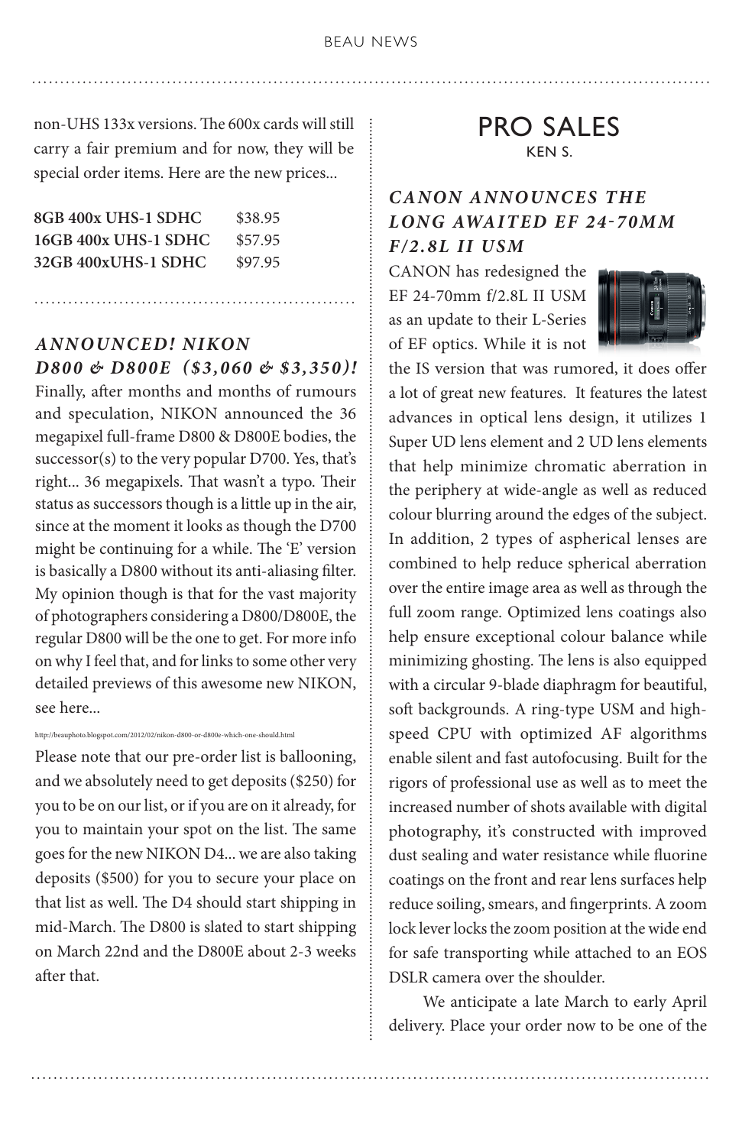non-UHS 133x versions. The 600x cards will still carry a fair premium and for now, they will be special order items. Here are the new prices...

| 8GB 400x UHS-1 SDHC  | \$38.95 |
|----------------------|---------|
| 16GB 400x UHS-1 SDHC | \$57.95 |
| 32GB 400xUHS-1 SDHC  | \$97.95 |

### *ANNOUNCED! NIKON D800 & D800E (\$3,060 & \$3,350)!*

Finally, after months and months of rumours and speculation, NIKON announced the 36 megapixel full-frame D800 & D800E bodies, the successor(s) to the very popular D700. Yes, that's right... 36 megapixels. That wasn't a typo. Their status as successors though is a little up in the air, since at the moment it looks as though the D700 might be continuing for a while. The 'E' version is basically a D800 without its anti-aliasing filter. My opinion though is that for the vast majority of photographers considering a D800/D800E, the regular D800 will be the one to get. For more info on why I feel that, and for links to some other very detailed previews of this awesome new NIKON, see here...

#### http://beauphoto.blogspot.com/2012/02/nikon-d800-or-d800e-which-one-should.html

Please note that our pre-order list is ballooning, and we absolutely need to get deposits (\$250) for you to be on our list, or if you are on it already, for you to maintain your spot on the list. The same goes for the new NIKON D4... we are also taking deposits (\$500) for you to secure your place on that list as well. The D4 should start shipping in mid-March. The D800 is slated to start shipping on March 22nd and the D800E about 2-3 weeks after that.

PRO SALES KEN S.

### *CANON ANNOUNCES THE LONG AWAITED EF 24-70MM F/2.8L II USM*

CANON has redesigned the EF 24-70mm f/2.8L II USM as an update to their L-Series of EF optics. While it is not



the IS version that was rumored, it does offer a lot of great new features. It features the latest advances in optical lens design, it utilizes 1 Super UD lens element and 2 UD lens elements that help minimize chromatic aberration in the periphery at wide-angle as well as reduced colour blurring around the edges of the subject. In addition, 2 types of aspherical lenses are combined to help reduce spherical aberration over the entire image area as well as through the full zoom range. Optimized lens coatings also help ensure exceptional colour balance while minimizing ghosting. The lens is also equipped with a circular 9-blade diaphragm for beautiful, soft backgrounds. A ring-type USM and highspeed CPU with optimized AF algorithms enable silent and fast autofocusing. Built for the rigors of professional use as well as to meet the increased number of shots available with digital photography, it's constructed with improved dust sealing and water resistance while fluorine coatings on the front and rear lens surfaces help reduce soiling, smears, and fingerprints. A zoom lock lever locks the zoom position at the wide end for safe transporting while attached to an EOS DSLR camera over the shoulder.

 We anticipate a late March to early April delivery. Place your order now to be one of the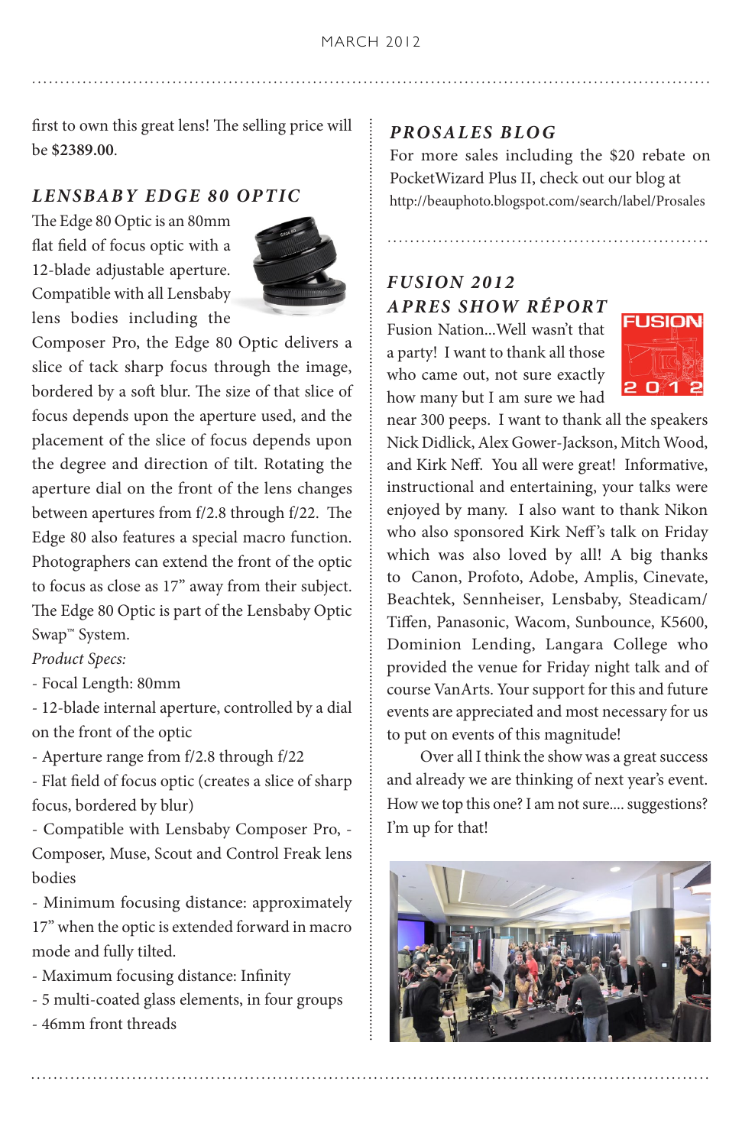first to own this great lens! The selling price will be **\$2389.00**.

#### *LENSBABY EDGE 80 OPTIC*

The Edge 80 Optic is an 80mm flat field of focus optic with a 12-blade adjustable aperture. Compatible with all Lensbaby lens bodies including the



Composer Pro, the Edge 80 Optic delivers a slice of tack sharp focus through the image, bordered by a soft blur. The size of that slice of focus depends upon the aperture used, and the placement of the slice of focus depends upon the degree and direction of tilt. Rotating the aperture dial on the front of the lens changes between apertures from f/2.8 through f/22. The Edge 80 also features a special macro function. Photographers can extend the front of the optic to focus as close as 17" away from their subject. The Edge 80 Optic is part of the Lensbaby Optic Swap™ System.

#### *Product Specs:*

- Focal Length: 80mm

- 12-blade internal aperture, controlled by a dial on the front of the optic

- Aperture range from f/2.8 through f/22

- Flat field of focus optic (creates a slice of sharp focus, bordered by blur)

- Compatible with Lensbaby Composer Pro, - Composer, Muse, Scout and Control Freak lens bodies

- Minimum focusing distance: approximately 17" when the optic is extended forward in macro mode and fully tilted.

- Maximum focusing distance: Infinity
- 5 multi-coated glass elements, in four groups

- 46mm front threads

#### *PROSALES BLOG*

For more sales including the \$20 rebate on PocketWizard Plus II, check out our blog at http://beauphoto.blogspot.com/search/label/Prosales

#### *FUSION 2012 APRES SHOW RÉPORT*

Fusion Nation...Well wasn't that a party! I want to thank all those who came out, not sure exactly how many but I am sure we had



near 300 peeps. I want to thank all the speakers Nick Didlick, Alex Gower-Jackson, Mitch Wood, and Kirk Neff. You all were great! Informative, instructional and entertaining, your talks were enjoyed by many. I also want to thank Nikon who also sponsored Kirk Neff's talk on Friday which was also loved by all! A big thanks to Canon, Profoto, Adobe, Amplis, Cinevate, Beachtek, Sennheiser, Lensbaby, Steadicam/ Tiffen, Panasonic, Wacom, Sunbounce, K5600, Dominion Lending, Langara College who provided the venue for Friday night talk and of course VanArts. Your support for this and future events are appreciated and most necessary for us to put on events of this magnitude!

 Over all I think the show was a great success and already we are thinking of next year's event. How we top this one? I am not sure.... suggestions? I'm up for that!

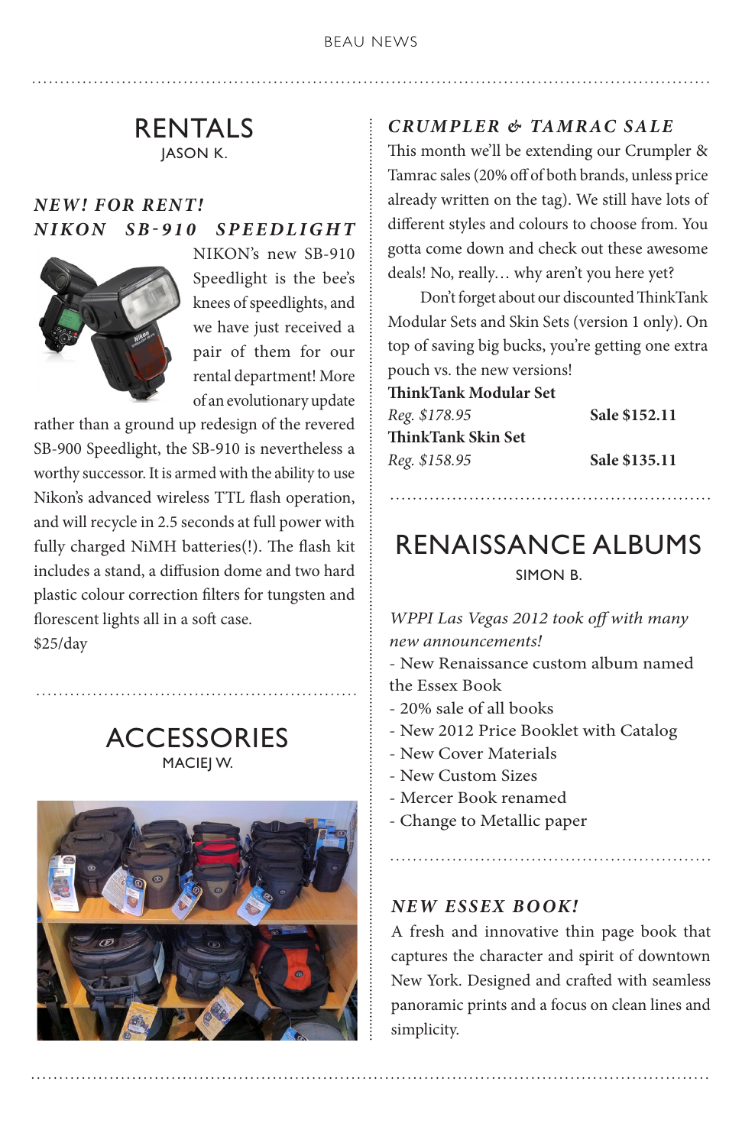### RENTALS JASON K.

### *NEW! FOR RENT! NIKON SB-910 SPEEDLIGHT*



NIKON's new SB-910 Speedlight is the bee's knees of speedlights, and we have just received a pair of them for our rental department! More of an evolutionary update

rather than a ground up redesign of the revered SB-900 Speedlight, the SB-910 is nevertheless a worthy successor. It is armed with the ability to use Nikon's advanced wireless TTL flash operation, and will recycle in 2.5 seconds at full power with fully charged NiMH batteries(!). The flash kit includes a stand, a diffusion dome and two hard plastic colour correction filters for tungsten and florescent lights all in a soft case. \$25/day

> **ACCESSORIES** MACIEJ W.



### *CRUMPLER & TAMRAC SALE*

This month we'll be extending our Crumpler & Tamrac sales (20% off of both brands, unless price already written on the tag). We still have lots of different styles and colours to choose from. You gotta come down and check out these awesome deals! No, really… why aren't you here yet?

 Don't forget about our discounted ThinkTank Modular Sets and Skin Sets (version 1 only). On top of saving big bucks, you're getting one extra pouch vs. the new versions!

**ThinkTank Modular Set**  *Reg. \$178.95* **Sale \$152.11 ThinkTank Skin Set**  *Reg. \$158.95* **Sale \$135.11**

### RENAISSANCE ALBUMS SIMON B.

*WPPI Las Vegas 2012 took off with many new announcements!*

- New Renaissance custom album named the Essex Book

- 20% sale of all books
- New 2012 Price Booklet with Catalog
- New Cover Materials
- New Custom Sizes
- Mercer Book renamed
- Change to Metallic paper

#### *NEW ESSEX BOOK!*

A fresh and innovative thin page book that captures the character and spirit of downtown New York. Designed and crafted with seamless panoramic prints and a focus on clean lines and simplicity.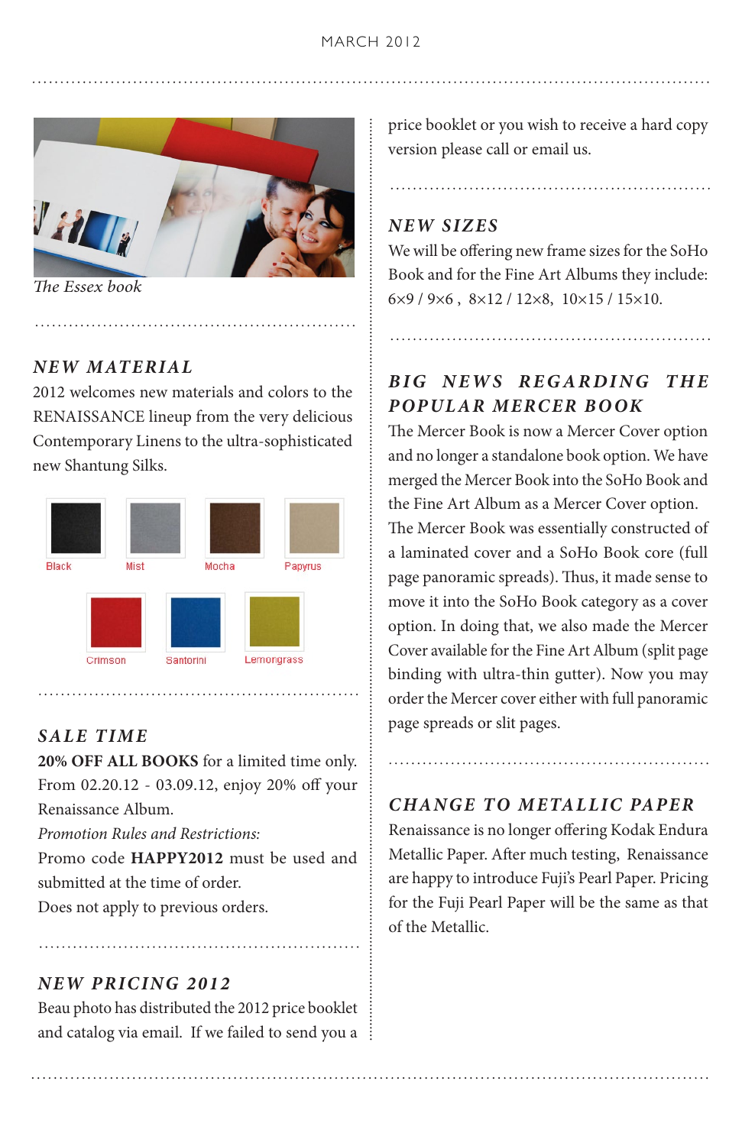

*The Essex book*

#### *NEW MATERIAL*

2012 welcomes new materials and colors to the RENAISSANCE lineup from the very delicious Contemporary Linens to the ultra-sophisticated new Shantung Silks.



**20% OFF ALL BOOKS** for a limited time only. From 02.20.12 - 03.09.12, enjoy 20% off your Renaissance Album.

*Promotion Rules and Restrictions:*

Promo code **HAPPY2012** must be used and submitted at the time of order.

Does not apply to previous orders.

### *NEW PRICING 2012*

Beau photo has distributed the 2012 price booklet and catalog via email. If we failed to send you a price booklet or you wish to receive a hard copy version please call or email us.

### *NEW SIZES*

We will be offering new frame sizes for the SoHo Book and for the Fine Art Albums they include: 6×9 / 9×6 , 8×12 / 12×8, 10×15 / 15×10.

### *BIG NEWS REGARDING THE POPULAR MERCER BOOK*

The Mercer Book is now a Mercer Cover option and no longer a standalone book option. We have merged the Mercer Book into the SoHo Book and the Fine Art Album as a Mercer Cover option.

The Mercer Book was essentially constructed of a laminated cover and a SoHo Book core (full page panoramic spreads). Thus, it made sense to move it into the SoHo Book category as a cover option. In doing that, we also made the Mercer Cover available for the Fine Art Album (split page binding with ultra-thin gutter). Now you may order the Mercer cover either with full panoramic page spreads or slit pages. *SALE TIME*

### *CHANGE TO METALLIC PAPER*

Renaissance is no longer offering Kodak Endura Metallic Paper. After much testing, Renaissance are happy to introduce Fuji's Pearl Paper. Pricing for the Fuji Pearl Paper will be the same as that of the Metallic.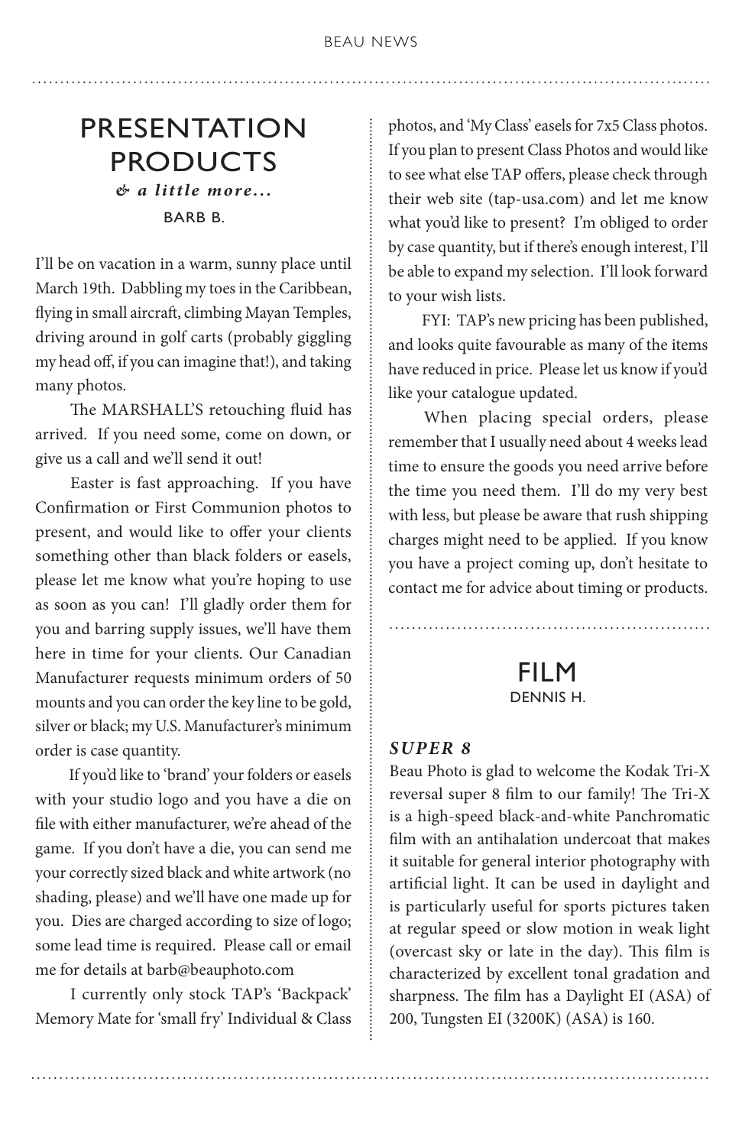### PRESENTATION PRODUCTS *& a little more...* BARB B.

I'll be on vacation in a warm, sunny place until March 19th. Dabbling my toes in the Caribbean, flying in small aircraft, climbing Mayan Temples, driving around in golf carts (probably giggling my head off, if you can imagine that!), and taking many photos.

 The MARSHALL'S retouching fluid has arrived. If you need some, come on down, or give us a call and we'll send it out!

 Easter is fast approaching. If you have Confirmation or First Communion photos to present, and would like to offer your clients something other than black folders or easels, please let me know what you're hoping to use as soon as you can! I'll gladly order them for you and barring supply issues, we'll have them here in time for your clients. Our Canadian Manufacturer requests minimum orders of 50 mounts and you can order the key line to be gold, silver or black; my U.S. Manufacturer's minimum order is case quantity.

 If you'd like to 'brand' your folders or easels with your studio logo and you have a die on file with either manufacturer, we're ahead of the game. If you don't have a die, you can send me your correctly sized black and white artwork (no shading, please) and we'll have one made up for you. Dies are charged according to size of logo; some lead time is required. Please call or email me for details at barb@beauphoto.com

 I currently only stock TAP's 'Backpack' Memory Mate for 'small fry' Individual & Class photos, and 'My Class' easels for 7x5 Class photos. If you plan to present Class Photos and would like to see what else TAP offers, please check through their web site (tap-usa.com) and let me know what you'd like to present? I'm obliged to order by case quantity, but if there's enough interest, I'll be able to expand my selection. I'll look forward to your wish lists.

 FYI: TAP's new pricing has been published, and looks quite favourable as many of the items have reduced in price. Please let us know if you'd like your catalogue updated.

 When placing special orders, please remember that I usually need about 4 weeks lead time to ensure the goods you need arrive before the time you need them. I'll do my very best with less, but please be aware that rush shipping charges might need to be applied. If you know you have a project coming up, don't hesitate to contact me for advice about timing or products.

> FILM DENNIS H.

#### *SUPER 8*

Beau Photo is glad to welcome the Kodak Tri-X reversal super 8 film to our family! The Tri-X is a high-speed black-and-white Panchromatic film with an antihalation undercoat that makes it suitable for general interior photography with artificial light. It can be used in daylight and is particularly useful for sports pictures taken at regular speed or slow motion in weak light (overcast sky or late in the day). This film is characterized by excellent tonal gradation and sharpness. The film has a Daylight EI (ASA) of 200, Tungsten EI (3200K) (ASA) is 160.